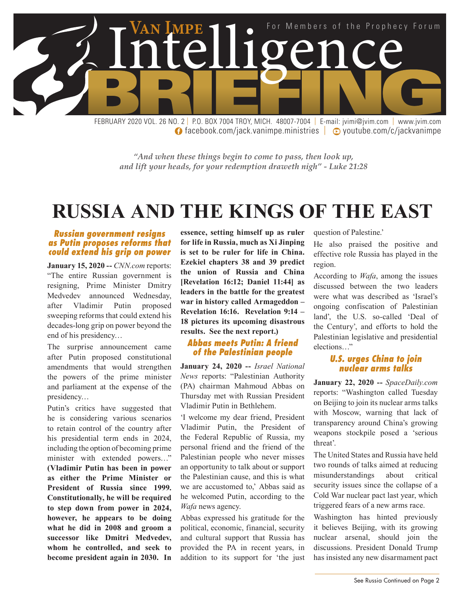

**facebook.com/jack.vanimpe.ministries | ⊙ youtube.com/c/jackvanimpe** 

*"And when these things begin to come to pass, then look up, and lift your heads, for your redemption draweth nigh" - Luke 21:28*

### **RUSSIA AND THE KINGS OF THE EAST**

#### *Russian government resigns as Putin proposes reforms that could extend his grip on power*

**January 15, 2020 --** *CNN.com* reports: "The entire Russian government is resigning, Prime Minister Dmitry Medvedev announced Wednesday, after Vladimir Putin proposed sweeping reforms that could extend his decades-long grip on power beyond the end of his presidency…

The surprise announcement came after Putin proposed constitutional amendments that would strengthen the powers of the prime minister and parliament at the expense of the presidency…

Putin's critics have suggested that he is considering various scenarios to retain control of the country after his presidential term ends in 2024, including the option of becoming prime minister with extended powers…" **(Vladimir Putin has been in power as either the Prime Minister or President of Russia since 1999. Constitutionally, he will be required to step down from power in 2024, however, he appears to be doing what he did in 2008 and groom a successor like Dmitri Medvedev, whom he controlled, and seek to become president again in 2030. In** 

**essence, setting himself up as ruler for life in Russia, much as Xi Jinping is set to be ruler for life in China. Ezekiel chapters 38 and 39 predict the union of Russia and China [Revelation 16:12; Daniel 11:44] as leaders in the battle for the greatest war in history called Armageddon – Revelation 16:16. Revelation 9:14 – 18 pictures its upcoming disastrous results. See the next report.)**

#### *Abbas meets Putin: A friend of the Palestinian people*

**January 24, 2020 --** *Israel National News* reports: "Palestinian Authority (PA) chairman Mahmoud Abbas on Thursday met with Russian President Vladimir Putin in Bethlehem.

'I welcome my dear friend, President Vladimir Putin, the President of the Federal Republic of Russia, my personal friend and the friend of the Palestinian people who never misses an opportunity to talk about or support the Palestinian cause, and this is what we are accustomed to,' Abbas said as he welcomed Putin, according to the *Wafa* news agency.

Abbas expressed his gratitude for the political, economic, financial, security and cultural support that Russia has provided the PA in recent years, in addition to its support for 'the just question of Palestine.'

He also praised the positive and effective role Russia has played in the region.

According to *Wafa*, among the issues discussed between the two leaders were what was described as 'Israel's ongoing confiscation of Palestinian land', the U.S. so-called 'Deal of the Century', and efforts to hold the Palestinian legislative and presidential elections…"

#### *U.S. urges China to join nuclear arms talks*

**January 22, 2020 --** *SpaceDaily.com* reports: "Washington called Tuesday on Beijing to join its nuclear arms talks with Moscow, warning that lack of transparency around China's growing weapons stockpile posed a 'serious threat'.

The United States and Russia have held two rounds of talks aimed at reducing misunderstandings about critical security issues since the collapse of a Cold War nuclear pact last year, which triggered fears of a new arms race.

Washington has hinted previously it believes Beijing, with its growing nuclear arsenal, should join the discussions. President Donald Trump has insisted any new disarmament pact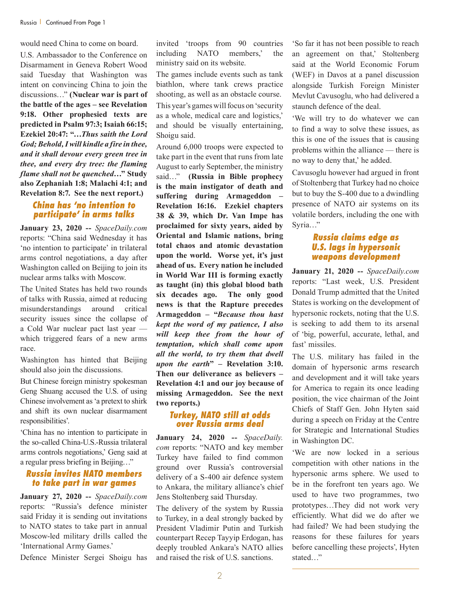would need China to come on board.

U.S. Ambassador to the Conference on Disarmament in Geneva Robert Wood said Tuesday that Washington was intent on convincing China to join the discussions…" **(Nuclear war is part of the battle of the ages – see Revelation 9:18. Other prophesied texts are predicted in Psalm 97:3; Isaiah 66:15; Ezekiel 20:47: "…***Thus saith the Lord God; Behold, I will kindle a fire in thee, and it shall devour every green tree in thee, and every dry tree: the flaming flame shall not be quenched***…" Study also Zephaniah 1:8; Malachi 4:1; and Revelation 8:7. See the next report.)**

#### *China has 'no intention to participate' in arms talks*

**January 23, 2020 --** *SpaceDaily.com* reports: "China said Wednesday it has 'no intention to participate' in trilateral arms control negotiations, a day after Washington called on Beijing to join its nuclear arms talks with Moscow.

The United States has held two rounds of talks with Russia, aimed at reducing misunderstandings around critical security issues since the collapse of a Cold War nuclear pact last year which triggered fears of a new arms race.

Washington has hinted that Beijing should also join the discussions.

But Chinese foreign ministry spokesman Geng Shuang accused the U.S. of using Chinese involvement as 'a pretext to shirk and shift its own nuclear disarmament responsibilities'.

'China has no intention to participate in the so-called China-U.S.-Russia trilateral arms controls negotiations,' Geng said at a regular press briefing in Beijing…"

#### *Russia invites NATO members to take part in war games*

**January 27, 2020 --** *SpaceDaily.com* reports: "Russia's defence minister said Friday it is sending out invitations to NATO states to take part in annual Moscow-led military drills called the 'International Army Games.'

Defence Minister Sergei Shoigu has

invited 'troops from 90 countries including NATO members,' the ministry said on its website.

The games include events such as tank biathlon, where tank crews practice shooting, as well as an obstacle course.

This year's games will focus on 'security as a whole, medical care and logistics,' and should be visually entertaining, Shoigu said.

Around 6,000 troops were expected to take part in the event that runs from late August to early September, the ministry said…" **(Russia in Bible prophecy is the main instigator of death and suffering during Armageddon – Revelation 16:16. Ezekiel chapters 38 & 39, which Dr. Van Impe has proclaimed for sixty years, aided by Oriental and Islamic nations, bring total chaos and atomic devastation upon the world. Worse yet, it's just ahead of us. Every nation he included in World War III is forming exactly as taught (in) this global blood bath six decades ago. The only good news is that the Rapture precedes Armageddon – "***Because thou hast kept the word of my patience, I also will keep thee from the hour of temptation, which shall come upon all the world, to try them that dwell upon the earth***" – Revelation 3:10. Then our deliverance as believers – Revelation 4:1 and our joy because of missing Armageddon. See the next two reports.)**

#### *Turkey, NATO still at odds over Russia arms deal*

**January 24, 2020 --** *SpaceDaily. com* reports: "NATO and key member Turkey have failed to find common ground over Russia's controversial delivery of a S-400 air defence system to Ankara, the military alliance's chief Jens Stoltenberg said Thursday.

The delivery of the system by Russia to Turkey, in a deal strongly backed by President Vladimir Putin and Turkish counterpart Recep Tayyip Erdogan, has deeply troubled Ankara's NATO allies and raised the risk of U.S. sanctions.

'So far it has not been possible to reach an agreement on that,' Stoltenberg said at the World Economic Forum (WEF) in Davos at a panel discussion alongside Turkish Foreign Minister Mevlut Cavusoglu, who had delivered a staunch defence of the deal.

'We will try to do whatever we can to find a way to solve these issues, as this is one of the issues that is causing problems within the alliance — there is no way to deny that,' he added.

Cavusoglu however had argued in front of Stoltenberg that Turkey had no choice but to buy the S-400 due to a dwindling presence of NATO air systems on its volatile borders, including the one with Syria…"

#### *Russia claims edge as U.S. lags in hypersonic weapons development*

**January 21, 2020 --** *SpaceDaily.com* reports: "Last week, U.S. President Donald Trump admitted that the United States is working on the development of hypersonic rockets, noting that the U.S. is seeking to add them to its arsenal of 'big, powerful, accurate, lethal, and fast' missiles.

The U.S. military has failed in the domain of hypersonic arms research and development and it will take years for America to regain its once leading position, the vice chairman of the Joint Chiefs of Staff Gen. John Hyten said during a speech on Friday at the Centre for Strategic and International Studies in Washington DC.

'We are now locked in a serious competition with other nations in the hypersonic arms sphere. We used to be in the forefront ten years ago. We used to have two programmes, two prototypes…They did not work very efficiently. What did we do after we had failed? We had been studying the reasons for these failures for years before cancelling these projects', Hyten stated…"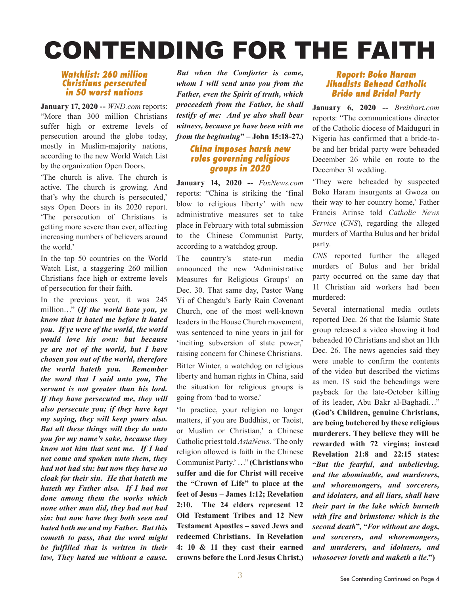# CONTENDING FOR THE FAITH

#### *Watchlist: 260 million Christians persecuted in 50 worst nations*

**January 17, 2020 --** *WND.com* reports: "More than 300 million Christians suffer high or extreme levels of persecution around the globe today, mostly in Muslim-majority nations, according to the new World Watch List by the organization Open Doors.

'The church is alive. The church is active. The church is growing. And that's why the church is persecuted,' says Open Doors in its 2020 report. 'The persecution of Christians is getting more severe than ever, affecting increasing numbers of believers around the world.'

In the top 50 countries on the World Watch List, a staggering 260 million Christians face high or extreme levels of persecution for their faith.

In the previous year, it was 245 million…" **(***If the world hate you, ye know that it hated me before it hated you. If ye were of the world, the world would love his own: but because ye are not of the world, but I have chosen you out of the world, therefore the world hateth you. Remember the word that I said unto you, The servant is not greater than his lord. If they have persecuted me, they will also persecute you; if they have kept my saying, they will keep yours also. But all these things will they do unto you for my name's sake, because they know not him that sent me. If I had not come and spoken unto them, they had not had sin: but now they have no cloak for their sin. He that hateth me hateth my Father also. If I had not done among them the works which none other man did, they had not had sin: but now have they both seen and hated both me and my Father. But this cometh to pass, that the word might be fulfilled that is written in their law, They hated me without a cause.*

*But when the Comforter is come, whom I will send unto you from the Father, even the Spirit of truth, which proceedeth from the Father, he shall testify of me: And ye also shall bear witness, because ye have been with me from the beginning***" – John 15:18-27.)**

#### *China imposes harsh new rules governing religious groups in 2020*

**January 14, 2020 --** *FoxNews.com* reports: "China is striking the 'final blow to religious liberty' with new administrative measures set to take place in February with total submission to the Chinese Communist Party, according to a watchdog group.

The country's state-run media announced the new 'Administrative Measures for Religious Groups' on Dec. 30. That same day, Pastor Wang Yi of Chengdu's Early Rain Covenant Church, one of the most well-known leaders in the House Church movement, was sentenced to nine years in jail for 'inciting subversion of state power,' raising concern for Chinese Christians. Bitter Winter, a watchdog on religious liberty and human rights in China, said the situation for religious groups is going from 'bad to worse.'

'In practice, your religion no longer matters, if you are Buddhist, or Taoist, or Muslim or Christian,' a Chinese Catholic priest told *AsiaNews*. 'The only religion allowed is faith in the Chinese Communist Party.' …" **(Christians who suffer and die for Christ will receive the "Crown of Life" to place at the feet of Jesus – James 1:12; Revelation 2:10. The 24 elders represent 12 Old Testament Tribes and 12 New Testament Apostles – saved Jews and redeemed Christians. In Revelation 4: 10 & 11 they cast their earned crowns before the Lord Jesus Christ.)**

#### *Report: Boko Haram Jihadists Behead Catholic Bride and Bridal Party*

**January 6, 2020 --** *Breitbart.com* reports: "The communications director of the Catholic diocese of Maiduguri in Nigeria has confirmed that a bride-tobe and her bridal party were beheaded December 26 while en route to the December 31 wedding.

'They were beheaded by suspected Boko Haram insurgents at Gwoza on their way to her country home,' Father Francis Arinse told *Catholic News Service* (*CNS*), regarding the alleged murders of Martha Bulus and her bridal party.

*CNS* reported further the alleged murders of Bulus and her bridal party occurred on the same day that 11 Christian aid workers had been murdered:

Several international media outlets reported Dec. 26 that the Islamic State group released a video showing it had beheaded 10 Christians and shot an 11th Dec. 26. The news agencies said they were unable to confirm the contents of the video but described the victims as men. IS said the beheadings were payback for the late-October killing of its leader, Abu Bakr al-Baghadi…" **(God's Children, genuine Christians, are being butchered by these religious murderers. They believe they will be rewarded with 72 virgins; instead Revelation 21:8 and 22:15 states: "***But the fearful, and unbelieving, and the abominable, and murderers, and whoremongers, and sorcerers, and idolaters, and all liars, shall have their part in the lake which burneth with fire and brimstone: which is the second death***", "***For without are dogs, and sorcerers, and whoremongers, and murderers, and idolaters, and whosoever loveth and maketh a lie***.")**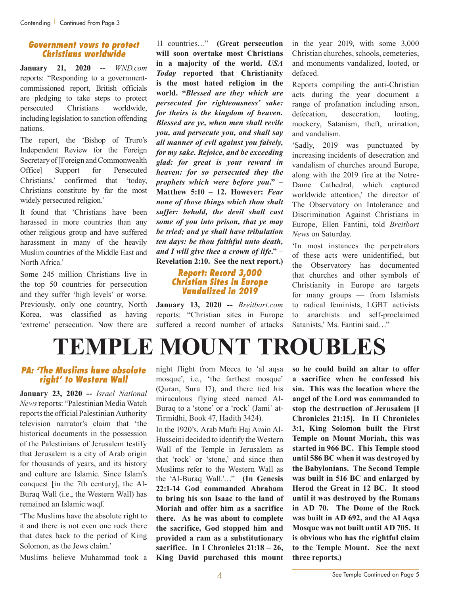#### *Government vows to protect Christians worldwide*

**January 21, 2020 --** *WND.com* reports: "Responding to a governmentcommissioned report, British officials are pledging to take steps to protect persecuted Christians worldwide, including legislation to sanction offending nations.

The report, the 'Bishop of Truro's Independent Review for the Foreign Secretary of [Foreign and Commonwealth Office] Support for Persecuted Christians,' confirmed that 'today, Christians constitute by far the most widely persecuted religion.'

It found that 'Christians have been harassed in more countries than any other religious group and have suffered harassment in many of the heavily Muslim countries of the Middle East and North Africa<sup>'</sup>

Some 245 million Christians live in the top 50 countries for persecution and they suffer 'high levels' or worse. Previously, only one country, North Korea, was classified as having 'extreme' persecution. Now there are

11 countries…" **(Great persecution will soon overtake most Christians in a majority of the world.** *USA Today* **reported that Christianity is the most hated religion in the world. "***Blessed are they which are persecuted for righteousness' sake: for theirs is the kingdom of heaven. Blessed are ye, when men shall revile you, and persecute you, and shall say all manner of evil against you falsely, for my sake. Rejoice, and be exceeding glad: for great is your reward in heaven: for so persecuted they the prophets which were before you***." – Matthew 5:10 – 12. However:** *Fear none of those things which thou shalt suffer: behold, the devil shall cast some of you into prison, that ye may be tried; and ye shall have tribulation ten days: be thou faithful unto death, and I will give thee a crown of life***." – Revelation 2:10. See the next report.)**

#### *Report: Record 3,000 Christian Sites in Europe Vandalized in 2019*

**January 13, 2020 --** *Breitbart.com* reports: "Christian sites in Europe suffered a record number of attacks in the year 2019, with some 3,000 Christian churches, schools, cemeteries, and monuments vandalized, looted, or defaced.

Reports compiling the anti-Christian acts during the year document a range of profanation including arson, defecation, desecration, looting, mockery, Satanism, theft, urination, and vandalism.

'Sadly, 2019 was punctuated by increasing incidents of desecration and vandalism of churches around Europe, along with the 2019 fire at the Notre-Dame Cathedral, which captured worldwide attention,' the director of The Observatory on Intolerance and Discrimination Against Christians in Europe, Ellen Fantini, told *Breitbart News* on Saturday.

'In most instances the perpetrators of these acts were unidentified, but the Observatory has documented that churches and other symbols of Christianity in Europe are targets for many groups — from Islamists to radical feminists, LGBT activists to anarchists and self-proclaimed Satanists,' Ms. Fantini said…"

## **TEMPLE MOUNT TROUBLES**

#### *PA: 'The Muslims have absolute right' to Western Wall*

**January 23, 2020 --** *Israel National News* reports: "Palestinian Media Watch reports the official Palestinian Authority television narrator's claim that 'the historical documents in the possession of the Palestinians of Jerusalem testify that Jerusalem is a city of Arab origin for thousands of years, and its history and culture are Islamic. Since Islam's conquest [in the 7th century], the Al-Buraq Wall (i.e., the Western Wall) has remained an Islamic waqf.

'The Muslims have the absolute right to it and there is not even one rock there that dates back to the period of King Solomon, as the Jews claim.'

Muslims believe Muhammad took a

night flight from Mecca to 'al aqsa mosque', i.e., 'the farthest mosque' (Quran, Sura 17), and there tied his miraculous flying steed named Al-Buraq to a 'stone' or a 'rock' (Jami` at-Tirmidhi, Book 47, Hadith 3424).

In the 1920's, Arab Mufti Haj Amin Al-Husseini decided to identify the Western Wall of the Temple in Jerusalem as that 'rock' or 'stone,' and since then Muslims refer to the Western Wall as the 'Al-Buraq Wall.'…" **(In Genesis 22:1-14 God commanded Abraham to bring his son Isaac to the land of Moriah and offer him as a sacrifice there. As he was about to complete the sacrifice, God stopped him and provided a ram as a substitutionary sacrifice. In I Chronicles 21:18 – 26, King David purchased this mount** 

**so he could build an altar to offer a sacrifice when he confessed his sin. This was the location where the angel of the Lord was commanded to stop the destruction of Jerusalem [I Chronicles 21:15]. In II Chronicles 3:1, King Solomon built the First Temple on Mount Moriah, this was started in 966 BC. This Temple stood until 586 BC when it was destroyed by the Babylonians. The Second Temple was built in 516 BC and enlarged by Herod the Great in 12 BC. It stood until it was destroyed by the Romans in AD 70. The Dome of the Rock was built in AD 692, and the Al Aqsa Mosque was not built until AD 705. It is obvious who has the rightful claim to the Temple Mount. See the next three reports.)**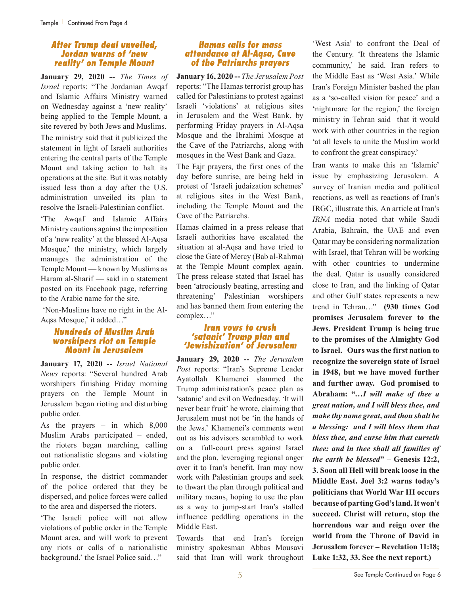#### *After Trump deal unveiled, Jordan warns of 'new reality' on Temple Mount*

**January 29, 2020 --** *The Times of Israel* reports: "The Jordanian Awqaf and Islamic Affairs Ministry warned on Wednesday against a 'new reality' being applied to the Temple Mount, a site revered by both Jews and Muslims.

The ministry said that it publicized the statement in light of Israeli authorities entering the central parts of the Temple Mount and taking action to halt its operations at the site. But it was notably issued less than a day after the U.S. administration unveiled its plan to resolve the Israeli-Palestinian conflict. 'The Awqaf and Islamic Affairs Ministry cautions against the imposition of a 'new reality' at the blessed Al-Aqsa Mosque,' the ministry, which largely manages the administration of the Temple Mount — known by Muslims as Haram al-Sharif — said in a statement posted on its Facebook page, referring to the Arabic name for the site.

 'Non-Muslims have no right in the Al-Aqsa Mosque,' it added…"

#### *Hundreds of Muslim Arab worshipers riot on Temple Mount in Jerusalem*

**January 17, 2020 --** *Israel National News* reports: "Several hundred Arab worshipers finishing Friday morning prayers on the Temple Mount in Jerusalem began rioting and disturbing public order.

As the prayers – in which 8,000 Muslim Arabs participated – ended, the rioters began marching, calling out nationalistic slogans and violating public order.

In response, the district commander of the police ordered that they be dispersed, and police forces were called to the area and dispersed the rioters.

'The Israeli police will not allow violations of public order in the Temple Mount area, and will work to prevent any riots or calls of a nationalistic background,' the Israel Police said…"

#### *Hamas calls for mass attendance at Al-Aqsa, Cave of the Patriarchs prayers*

**January 16, 2020 --** *The Jerusalem Post* reports: "The Hamas terrorist group has called for Palestinians to protest against Israeli 'violations' at religious sites in Jerusalem and the West Bank, by performing Friday prayers in Al-Aqsa Mosque and the Ibrahimi Mosque at the Cave of the Patriarchs, along with mosques in the West Bank and Gaza.

The Fajr prayers, the first ones of the day before sunrise, are being held in protest of 'Israeli judaization schemes' at religious sites in the West Bank, including the Temple Mount and the Cave of the Patriarchs.

Hamas claimed in a press release that Israeli authorities have escalated the situation at al-Aqsa and have tried to close the Gate of Mercy (Bab al-Rahma) at the Temple Mount complex again. The press release stated that Israel has been 'atrociously beating, arresting and threatening' Palestinian worshipers and has banned them from entering the complex…"

#### *Iran vows to crush 'satanic' Trump plan and 'Jewishization' of Jerusalem*

**January 29, 2020 --** *The Jerusalem Post* reports: "Iran's Supreme Leader Ayatollah Khamenei slammed the Trump administration's peace plan as 'satanic' and evil on Wednesday. 'It will never bear fruit' he wrote, claiming that Jerusalem must not be 'in the hands of the Jews.' Khamenei's comments went out as his advisors scrambled to work on a full-court press against Israel and the plan, leveraging regional anger over it to Iran's benefit. Iran may now work with Palestinian groups and seek to thwart the plan through political and military means, hoping to use the plan as a way to jump-start Iran's stalled influence peddling operations in the Middle East.

Towards that end Iran's foreign ministry spokesman Abbas Mousavi said that Iran will work throughout 'West Asia' to confront the Deal of the Century. 'It threatens the Islamic community,' he said. Iran refers to the Middle East as 'West Asia.' While Iran's Foreign Minister bashed the plan as a 'so-called vision for peace' and a 'nightmare for the region,' the foreign ministry in Tehran said that it would work with other countries in the region 'at all levels to unite the Muslim world to confront the great conspiracy.'

Iran wants to make this an 'Islamic' issue by emphasizing Jerusalem. A survey of Iranian media and political reactions, as well as reactions of Iran's IRGC, illustrate this. An article at Iran's *IRNA* media noted that while Saudi Arabia, Bahrain, the UAE and even Qatar may be considering normalization with Israel, that Tehran will be working with other countries to undermine the deal. Qatar is usually considered close to Iran, and the linking of Qatar and other Gulf states represents a new trend in Tehran…" **(930 times God promises Jerusalem forever to the Jews. President Trump is being true to the promises of the Almighty God to Israel. Ours was the first nation to recognize the sovereign state of Israel in 1948, but we have moved further and further away. God promised to Abraham: "…***I will make of thee a great nation, and I will bless thee, and make thy name great, and thou shalt be a blessing: and I will bless them that bless thee, and curse him that curseth thee: and in thee shall all families of the earth be blessed***" – Genesis 12:2, 3. Soon all Hell will break loose in the Middle East. Joel 3:2 warns today's politicians that World War III occurs because of parting God's land. It won't succeed. Christ will return, stop the horrendous war and reign over the world from the Throne of David in Jerusalem forever – Revelation 11:18; Luke 1:32, 33. See the next report.)**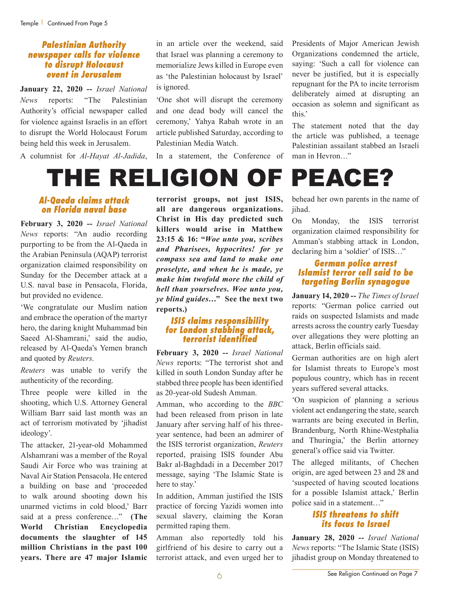#### *Palestinian Authority newspaper calls for violence to disrupt Holocaust event in Jerusalem*

**January 22, 2020 --** *Israel National News* reports: "The Palestinian Authority's official newspaper called for violence against Israelis in an effort to disrupt the World Holocaust Forum being held this week in Jerusalem.

A columnist for *Al-Hayat Al-Jadida*,

in an article over the weekend, said that Israel was planning a ceremony to memorialize Jews killed in Europe even as 'the Palestinian holocaust by Israel' is ignored.

'One shot will disrupt the ceremony and one dead body will cancel the ceremony,' Yahya Rabah wrote in an article published Saturday, according to Palestinian Media Watch.

In a statement, the Conference of

Presidents of Major American Jewish Organizations condemned the article, saying: 'Such a call for violence can never be justified, but it is especially repugnant for the PA to incite terrorism deliberately aimed at disrupting an occasion as solemn and significant as this.'

The statement noted that the day the article was published, a teenage Palestinian assailant stabbed an Israeli man in Hevron…"

### THE RELIGION OF PEACE?

#### *Al-Qaeda claims attack on Florida naval base*

**February 3, 2020 --** *Israel National News* reports: "An audio recording purporting to be from the Al-Qaeda in the Arabian Peninsula (AQAP) terrorist organization claimed responsibility on Sunday for the December attack at a U.S. naval base in Pensacola, Florida, but provided no evidence.

'We congratulate our Muslim nation and embrace the operation of the martyr hero, the daring knight Muhammad bin Saeed Al-Shamrani,' said the audio, released by Al-Qaeda's Yemen branch and quoted by *Reuters*.

*Reuters* was unable to verify the authenticity of the recording.

Three people were killed in the shooting, which U.S. Attorney General William Barr said last month was an act of terrorism motivated by 'jihadist ideology'.

The attacker, 21-year-old Mohammed Alshamrani was a member of the Royal Saudi Air Force who was training at Naval Air Station Pensacola. He entered a building on base and 'proceeded to walk around shooting down his unarmed victims in cold blood,' Barr said at a press conference…" **(The World Christian Encyclopedia documents the slaughter of 145 million Christians in the past 100 years. There are 47 major Islamic**  **terrorist groups, not just ISIS, all are dangerous organizations. Christ in His day predicted such killers would arise in Matthew 23:15 & 16: "***Woe unto you, scribes and Pharisees, hypocrites! for ye compass sea and land to make one proselyte, and when he is made, ye make him twofold more the child of hell than yourselves. Woe unto you, ye blind guides***…" See the next two reports.)**

#### *ISIS claims responsibility for London stabbing attack, terrorist identified*

**February 3, 2020 --** *Israel National News* reports: "The terrorist shot and killed in south London Sunday after he stabbed three people has been identified as 20-year-old Sudesh Amman.

Amman, who according to the *BBC* had been released from prison in late January after serving half of his threeyear sentence, had been an admirer of the ISIS terrorist organization, *Reuters* reported, praising ISIS founder Abu Bakr al-Baghdadi in a December 2017 message, saying 'The Islamic State is here to stay.'

In addition, Amman justified the ISIS practice of forcing Yazidi women into sexual slavery, claiming the Koran permitted raping them.

Amman also reportedly told his girlfriend of his desire to carry out a terrorist attack, and even urged her to

behead her own parents in the name of jihad.

On Monday, the ISIS terrorist organization claimed responsibility for Amman's stabbing attack in London, declaring him a 'soldier' of ISIS…"

#### *German police arrest Islamist terror cell said to be targeting Berlin synagogue*

**January 14, 2020 --** *The Times of Israel* reports: "German police carried out raids on suspected Islamists and made arrests across the country early Tuesday over allegations they were plotting an attack, Berlin officials said.

German authorities are on high alert for Islamist threats to Europe's most populous country, which has in recent years suffered several attacks.

'On suspicion of planning a serious violent act endangering the state, search warrants are being executed in Berlin, Brandenburg, North Rhine-Westphalia and Thuringia,' the Berlin attorney general's office said via Twitter.

The alleged militants, of Chechen origin, are aged between 23 and 28 and 'suspected of having scouted locations for a possible Islamist attack,' Berlin police said in a statement…"

#### *ISIS threatens to shift its focus to Israel*

**January 28, 2020 --** *Israel National News* reports: "The Islamic State (ISIS) jihadist group on Monday threatened to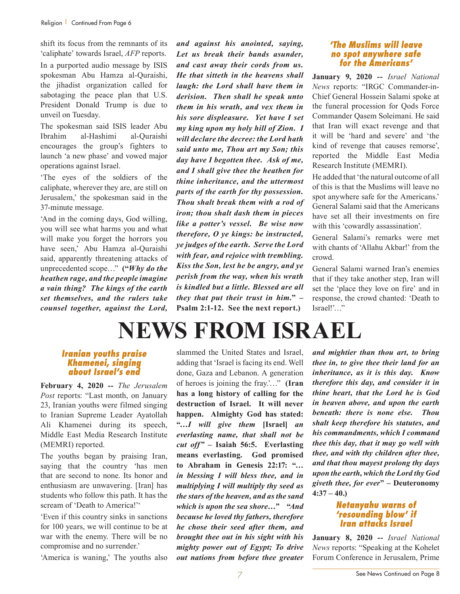shift its focus from the remnants of its 'caliphate' towards Israel, *AFP* reports. In a purported audio message by ISIS spokesman Abu Hamza al-Quraishi, the jihadist organization called for sabotaging the peace plan that U.S. President Donald Trump is due to unveil on Tuesday.

The spokesman said ISIS leader Abu Ibrahim al-Hashimi al-Quraishi encourages the group's fighters to launch 'a new phase' and vowed major operations against Israel.

'The eyes of the soldiers of the caliphate, wherever they are, are still on Jerusalem,' the spokesman said in the 37-minute message.

'And in the coming days, God willing, you will see what harms you and what will make you forget the horrors you have seen,' Abu Hamza al-Quraishi said, apparently threatening attacks of unprecedented scope…" **("***Why do the heathen rage, and the people imagine a vain thing? The kings of the earth set themselves, and the rulers take counsel together, against the Lord,* 

*and against his anointed, saying, Let us break their bands asunder, and cast away their cords from us. He that sitteth in the heavens shall laugh: the Lord shall have them in derision. Then shall he speak unto them in his wrath, and vex them in his sore displeasure. Yet have I set my king upon my holy hill of Zion. I will declare the decree: the Lord hath said unto me, Thou art my Son; this day have I begotten thee. Ask of me, and I shall give thee the heathen for thine inheritance, and the uttermost parts of the earth for thy possession. Thou shalt break them with a rod of iron; thou shalt dash them in pieces like a potter's vessel. Be wise now therefore, O ye kings: be instructed, ye judges of the earth. Serve the Lord with fear, and rejoice with trembling. Kiss the Son, lest he be angry, and ye perish from the way, when his wrath is kindled but a little. Blessed are all they that put their trust in him.***" – Psalm 2:1-12. See the next report.)** 

#### *'The Muslims will leave no spot anywhere safe for the Americans'*

**January 9, 2020 --** *Israel National News* reports: "IRGC Commander-in-Chief General Hossein Salami spoke at the funeral procession for Qods Force Commander Qasem Soleimani. He said that Iran will exact revenge and that it will be 'hard and severe' and 'the kind of revenge that causes remorse', reported the Middle East Media Research Institute (MEMRI).

He added that 'the natural outcome of all of this is that the Muslims will leave no spot anywhere safe for the Americans.' General Salami said that the Americans have set all their investments on fire with this 'cowardly assassination'.

General Salami's remarks were met with chants of 'Allahu Akbar!' from the crowd.

General Salami warned Iran's enemies that if they take another step, Iran will set the 'place they love on fire' and in response, the crowd chanted: 'Death to Israel!'…"

## **NEWS FROM ISRAEL**

#### *Iranian youths praise Khamenei, singing about Israel's end*

**February 4, 2020 --** *The Jerusalem Post* reports: "Last month, on January 23, Iranian youths were filmed singing to Iranian Supreme Leader Ayatollah Ali Khamenei during its speech, Middle East Media Research Institute (MEMRI) reported.

The youths began by praising Iran, saying that the country 'has men that are second to none. Its honor and enthusiasm are unwavering. [Iran] has students who follow this path. It has the scream of 'Death to America!'"

'Even if this country sinks in sanctions for 100 years, we will continue to be at war with the enemy. There will be no compromise and no surrender.'

'America is waning,' The youths also

slammed the United States and Israel, adding that 'Israel is facing its end. Well done, Gaza and Lebanon. A generation of heroes is joining the fray.'…" **(Iran has a long history of calling for the destruction of Israel. It will never happen. Almighty God has stated: "…***I will give them* **[Israel]** *an everlasting name, that shall not be cut off" –* **Isaiah 56:5. Everlasting means everlasting. God promised to Abraham in Genesis 22:17: "***… in blessing I will bless thee, and in multiplying I will multiply thy seed as the stars of the heaven, and as the sand which is upon the sea shore…"* **"***And because he loved thy fathers, therefore he chose their seed after them, and brought thee out in his sight with his mighty power out of Egypt; To drive out nations from before thee greater* 

*and mightier than thou art, to bring thee in, to give thee their land for an inheritance, as it is this day. Know therefore this day, and consider it in thine heart, that the Lord he is God in heaven above, and upon the earth beneath: there is none else. Thou shalt keep therefore his statutes, and his commandments, which I command thee this day, that it may go well with thee, and with thy children after thee, and that thou mayest prolong thy days upon the earth, which the Lord thy God giveth thee, for ever***" – Deuteronomy 4:37 – 40.)**

#### *Netanyahu warns of 'resounding blow' if Iran attacks Israel*

**January 8, 2020 --** *Israel National News* reports: "Speaking at the Kohelet Forum Conference in Jerusalem, Prime